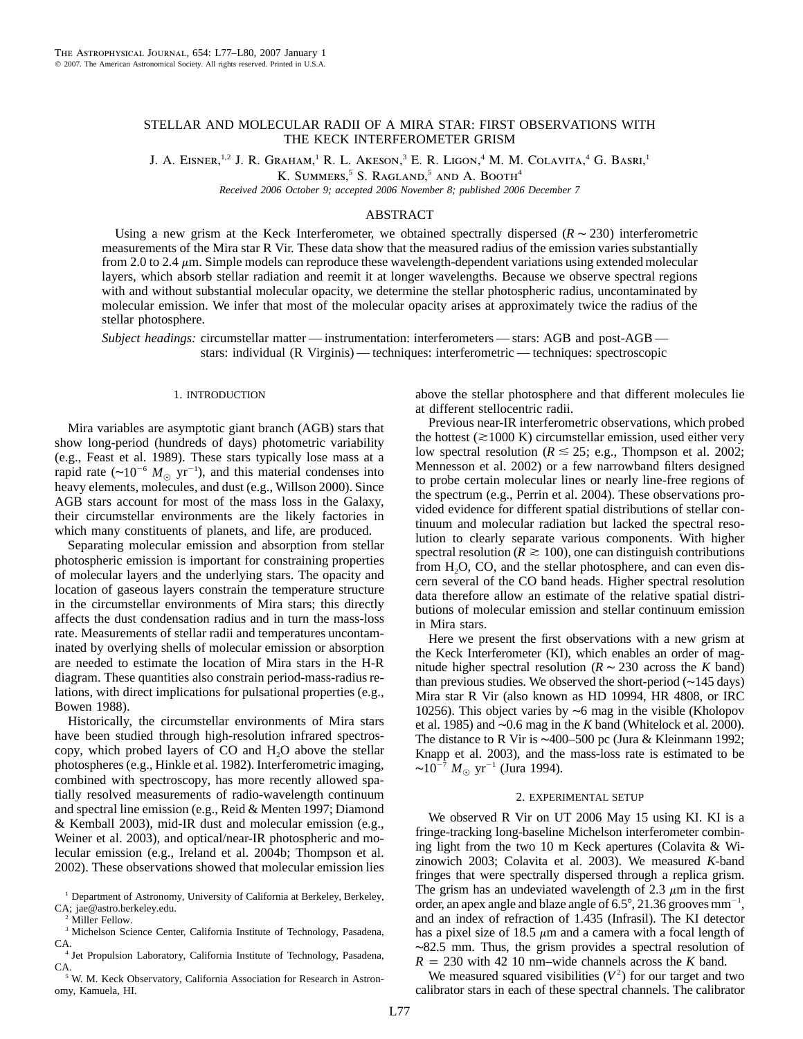# STELLAR AND MOLECULAR RADII OF A MIRA STAR: FIRST OBSERVATIONS WITH THE KECK INTERFEROMETER GRISM

J. A. Eisner,<sup>1,2</sup> J. R. Graham,<sup>1</sup> R. L. Akeson,<sup>3</sup> E. R. Ligon,<sup>4</sup> M. M. Colavita,<sup>4</sup> G. Basri,<sup>1</sup>

K. SUMMERS,<sup>5</sup> S. RAGLAND,<sup>5</sup> AND A. BOOTH<sup>4</sup>

*Received 2006 October 9; accepted 2006 November 8; published 2006 December 7*

# ABSTRACT

Using a new grism at the Keck Interferometer, we obtained spectrally dispersed ( $R \sim 230$ ) interferometric measurements of the Mira star R Vir. These data show that the measured radius of the emission varies substantially from 2.0 to 2.4  $\mu$ m. Simple models can reproduce these wavelength-dependent variations using extended molecular layers, which absorb stellar radiation and reemit it at longer wavelengths. Because we observe spectral regions with and without substantial molecular opacity, we determine the stellar photospheric radius, uncontaminated by molecular emission. We infer that most of the molecular opacity arises at approximately twice the radius of the stellar photosphere.

*Subject headings:* circumstellar matter — instrumentation: interferometers — stars: AGB and post-AGB stars: individual (R Virginis) — techniques: interferometric — techniques: spectroscopic

#### 1. INTRODUCTION

Mira variables are asymptotic giant branch (AGB) stars that show long-period (hundreds of days) photometric variability (e.g., Feast et al. 1989). These stars typically lose mass at a rapid rate ( $\sim 10^{-6} M_{\odot}$  yr<sup>-1</sup>), and this material condenses into heavy elements, molecules, and dust (e.g., Willson 2000). Since AGB stars account for most of the mass loss in the Galaxy, their circumstellar environments are the likely factories in which many constituents of planets, and life, are produced.

Separating molecular emission and absorption from stellar photospheric emission is important for constraining properties of molecular layers and the underlying stars. The opacity and location of gaseous layers constrain the temperature structure in the circumstellar environments of Mira stars; this directly affects the dust condensation radius and in turn the mass-loss rate. Measurements of stellar radii and temperatures uncontaminated by overlying shells of molecular emission or absorption are needed to estimate the location of Mira stars in the H-R diagram. These quantities also constrain period-mass-radius relations, with direct implications for pulsational properties (e.g., Bowen 1988).

Historically, the circumstellar environments of Mira stars have been studied through high-resolution infrared spectroscopy, which probed layers of CO and H<sub>2</sub>O above the stellar photospheres (e.g., Hinkle et al. 1982). Interferometric imaging, combined with spectroscopy, has more recently allowed spatially resolved measurements of radio-wavelength continuum and spectral line emission (e.g., Reid & Menten 1997; Diamond & Kemball 2003), mid-IR dust and molecular emission (e.g., Weiner et al. 2003), and optical/near-IR photospheric and molecular emission (e.g., Ireland et al. 2004b; Thompson et al. 2002). These observations showed that molecular emission lies above the stellar photosphere and that different molecules lie at different stellocentric radii.

Previous near-IR interferometric observations, which probed the hottest ( $\approx$ 1000 K) circumstellar emission, used either very low spectral resolution ( $R \le 25$ ; e.g., Thompson et al. 2002; Mennesson et al. 2002) or a few narrowband filters designed to probe certain molecular lines or nearly line-free regions of the spectrum (e.g., Perrin et al. 2004). These observations provided evidence for different spatial distributions of stellar continuum and molecular radiation but lacked the spectral resolution to clearly separate various components. With higher spectral resolution ( $R \ge 100$ ), one can distinguish contributions from  $H<sub>2</sub>O$ ,  $CO$ , and the stellar photosphere, and can even discern several of the CO band heads. Higher spectral resolution data therefore allow an estimate of the relative spatial distributions of molecular emission and stellar continuum emission in Mira stars.

Here we present the first observations with a new grism at the Keck Interferometer (KI), which enables an order of magnitude higher spectral resolution ( $R \sim 230$  across the *K* band) than previous studies. We observed the short-period (∼145 days) Mira star R Vir (also known as HD 10994, HR 4808, or IRC 10256). This object varies by ∼6 mag in the visible (Kholopov et al. 1985) and ∼0.6 mag in the *K* band (Whitelock et al. 2000). The distance to R Vir is ∼400–500 pc (Jura & Kleinmann 1992; Knapp et al. 2003), and the mass-loss rate is estimated to be ~ $10^{-7} M_{\odot}$  yr<sup>-1</sup> (Jura 1994).

### 2. EXPERIMENTAL SETUP

We observed R Vir on UT 2006 May 15 using KI. KI is a fringe-tracking long-baseline Michelson interferometer combining light from the two 10 m Keck apertures (Colavita & Wizinowich 2003; Colavita et al. 2003). We measured *K*-band fringes that were spectrally dispersed through a replica grism. The grism has an undeviated wavelength of 2.3  $\mu$ m in the first order, an apex angle and blaze angle of  $6.5^{\circ}$ , 21.36 grooves mm<sup>-1</sup>, and an index of refraction of 1.435 (Infrasil). The KI detector has a pixel size of 18.5  $\mu$ m and a camera with a focal length of ∼82.5 mm. Thus, the grism provides a spectral resolution of  $R = 230$  with 42 10 nm–wide channels across the *K* band.

We measured squared visibilities  $(V^2)$  for our target and two calibrator stars in each of these spectral channels. The calibrator

<sup>&</sup>lt;sup>1</sup> Department of Astronomy, University of California at Berkeley, Berkeley, CA; jae@astro.berkeley.edu.

Miller Fellow.

<sup>&</sup>lt;sup>3</sup> Michelson Science Center, California Institute of Technology, Pasadena, CA.

<sup>4</sup> Jet Propulsion Laboratory, California Institute of Technology, Pasadena, CA.

<sup>5</sup> W. M. Keck Observatory, California Association for Research in Astronomy, Kamuela, HI.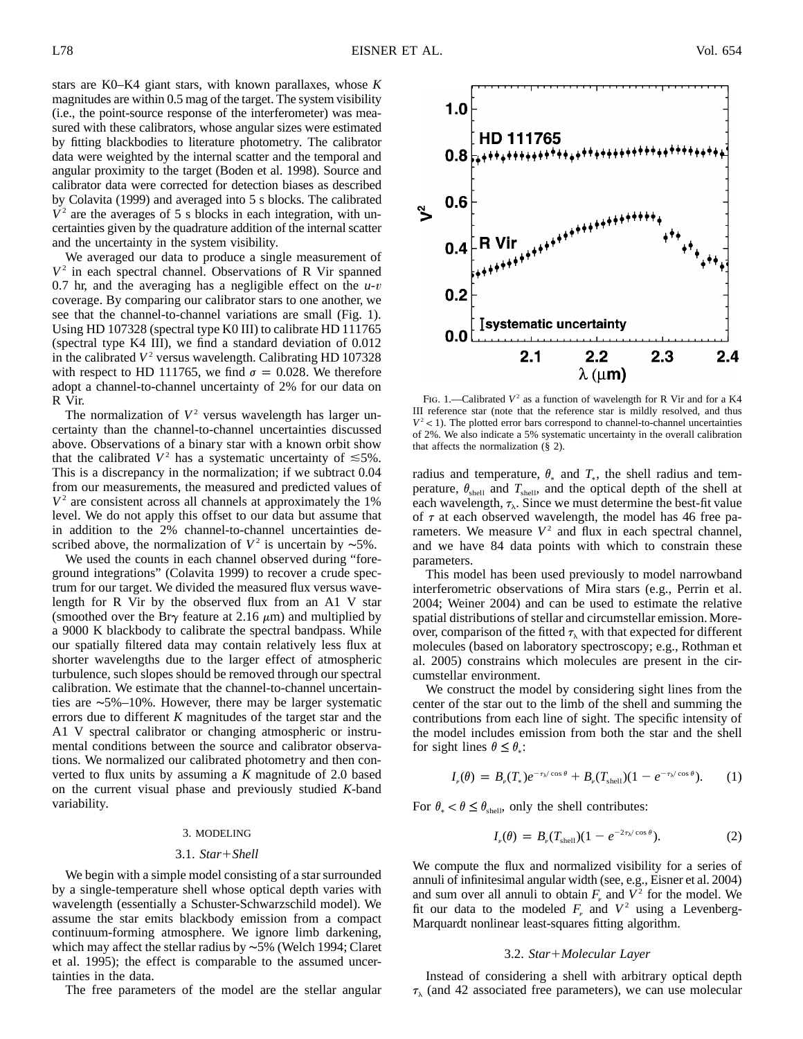stars are K0–K4 giant stars, with known parallaxes, whose *K* magnitudes are within 0.5 mag of the target. The system visibility (i.e., the point-source response of the interferometer) was measured with these calibrators, whose angular sizes were estimated by fitting blackbodies to literature photometry. The calibrator data were weighted by the internal scatter and the temporal and angular proximity to the target (Boden et al. 1998). Source and calibrator data were corrected for detection biases as described by Colavita (1999) and averaged into 5 s blocks. The calibrated  $V<sup>2</sup>$  are the averages of 5 s blocks in each integration, with uncertainties given by the quadrature addition of the internal scatter and the uncertainty in the system visibility.

We averaged our data to produce a single measurement of  $V^2$  in each spectral channel. Observations of R Vir spanned 0.7 hr, and the averaging has a negligible effect on the *u*-*v* coverage. By comparing our calibrator stars to one another, we see that the channel-to-channel variations are small (Fig. 1). Using HD 107328 (spectral type K0 III) to calibrate HD 111765 (spectral type K4 III), we find a standard deviation of 0.012 in the calibrated  $V^2$  versus wavelength. Calibrating HD 107328 with respect to HD 111765, we find  $\sigma = 0.028$ . We therefore adopt a channel-to-channel uncertainty of 2% for our data on R Vir.

The normalization of  $V^2$  versus wavelength has larger uncertainty than the channel-to-channel uncertainties discussed above. Observations of a binary star with a known orbit show that the calibrated  $V^2$  has a systematic uncertainty of  $\leq 5\%$ . This is a discrepancy in the normalization; if we subtract 0.04 from our measurements, the measured and predicted values of  $V^2$  are consistent across all channels at approximately the 1% level. We do not apply this offset to our data but assume that in addition to the 2% channel-to-channel uncertainties described above, the normalization of  $V^2$  is uncertain by ∼5%.

We used the counts in each channel observed during "foreground integrations" (Colavita 1999) to recover a crude spectrum for our target. We divided the measured flux versus wavelength for R Vir by the observed flux from an A1 V star (smoothed over the Br $\gamma$  feature at 2.16  $\mu$ m) and multiplied by a 9000 K blackbody to calibrate the spectral bandpass. While our spatially filtered data may contain relatively less flux at shorter wavelengths due to the larger effect of atmospheric turbulence, such slopes should be removed through our spectral calibration. We estimate that the channel-to-channel uncertainties are ∼5%–10%. However, there may be larger systematic errors due to different *K* magnitudes of the target star and the A1 V spectral calibrator or changing atmospheric or instrumental conditions between the source and calibrator observations. We normalized our calibrated photometry and then converted to flux units by assuming a *K* magnitude of 2.0 based on the current visual phase and previously studied *K*-band variability.

#### 3. MODELING

## 3.1. *Star*-*Shell*

We begin with a simple model consisting of a star surrounded by a single-temperature shell whose optical depth varies with wavelength (essentially a Schuster-Schwarzschild model). We assume the star emits blackbody emission from a compact continuum-forming atmosphere. We ignore limb darkening, which may affect the stellar radius by ∼5% (Welch 1994; Claret et al. 1995); the effect is comparable to the assumed uncertainties in the data.

The free parameters of the model are the stellar angular



FIG. 1.—Calibrated  $V^2$  as a function of wavelength for R Vir and for a K4 III reference star (note that the reference star is mildly resolved, and thus  $V^2$  < 1). The plotted error bars correspond to channel-to-channel uncertainties of 2%. We also indicate a 5% systematic uncertainty in the overall calibration that affects the normalization (§ 2).

radius and temperature,  $\theta_*$  and  $T_*$ , the shell radius and temperature,  $\theta_{shell}$  and  $T_{shell}$ , and the optical depth of the shell at each wavelength,  $\tau_{\lambda}$ . Since we must determine the best-fit value of  $\tau$  at each observed wavelength, the model has 46 free parameters. We measure  $V^2$  and flux in each spectral channel, and we have 84 data points with which to constrain these parameters.

This model has been used previously to model narrowband interferometric observations of Mira stars (e.g., Perrin et al. 2004; Weiner 2004) and can be used to estimate the relative spatial distributions of stellar and circumstellar emission. Moreover, comparison of the fitted  $\tau_{\lambda}$  with that expected for different molecules (based on laboratory spectroscopy; e.g., Rothman et al. 2005) constrains which molecules are present in the circumstellar environment.

We construct the model by considering sight lines from the center of the star out to the limb of the shell and summing the contributions from each line of sight. The specific intensity of the model includes emission from both the star and the shell for sight lines  $\theta \leq \theta$ <sub>\*</sub>:

$$
I_{\nu}(\theta) = B_{\nu}(T_{*})e^{-\tau_{\lambda}\cos\theta} + B_{\nu}(T_{\text{shell}})(1 - e^{-\tau_{\lambda}\cos\theta}). \qquad (1)
$$

For  $\theta_* < \theta \leq \theta_{\text{shell}}$ , only the shell contributes:

$$
I_{\nu}(\theta) = B_{\nu}(T_{\text{shell}})(1 - e^{-2\tau_{\lambda}\cos\theta}).
$$
 (2)

We compute the flux and normalized visibility for a series of annuli of infinitesimal angular width (see, e.g., Eisner et al. 2004) and sum over all annuli to obtain  $F_{\nu}$  and  $\overline{V^2}$  for the model. We fit our data to the modeled  $F<sub>\nu</sub>$  and  $V<sup>2</sup>$  using a Levenberg-Marquardt nonlinear least-squares fitting algorithm.

## 3.2. *Star*-*Molecular Layer*

Instead of considering a shell with arbitrary optical depth  $\tau_{\lambda}$  (and 42 associated free parameters), we can use molecular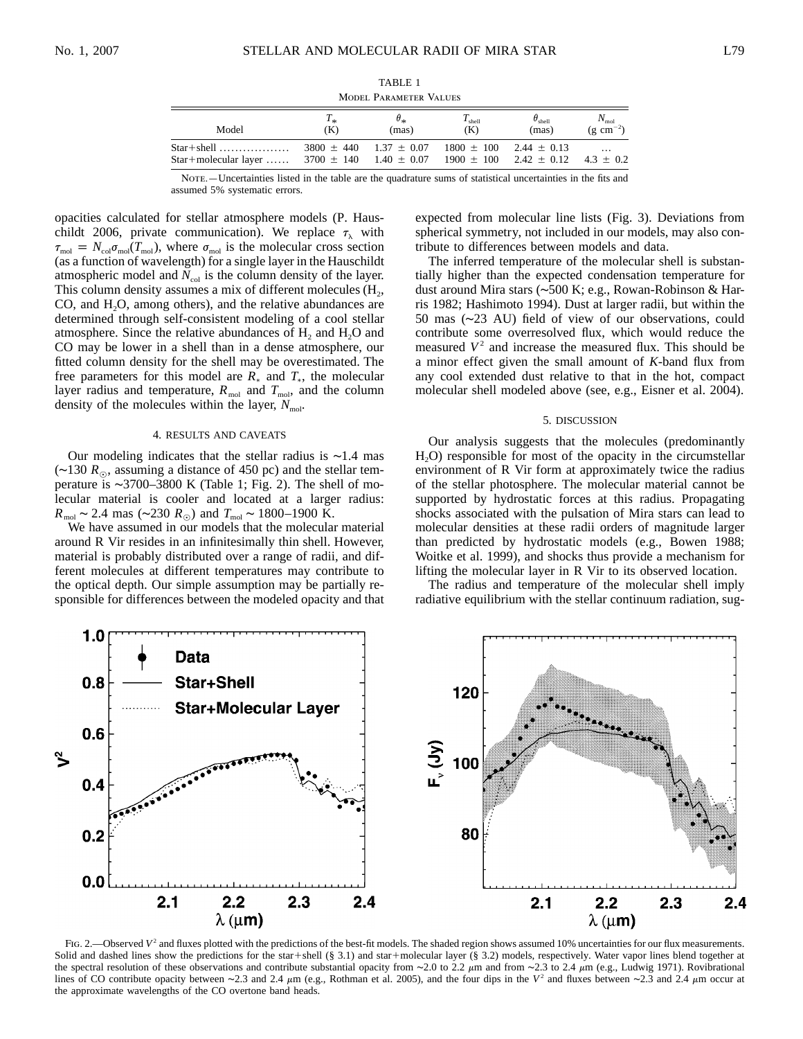TABLE 1 Model Parameter Values

| Model                    | $T_{\ast}$                     | $\sigma_*$                 | $I_{\text{shell}}$             | $\theta_{\rm shell}$                         | $N_{\rm mol}$         |
|--------------------------|--------------------------------|----------------------------|--------------------------------|----------------------------------------------|-----------------------|
|                          | (K)                            | (mas)                      | (K)                            | (mas)                                        | $(g \text{ cm}^{-2})$ |
| $Star + molecular layer$ | $3700 \pm 140$ $1.40 \pm 0.07$ | $3800 + 440$ $1.37 + 0.07$ | $1800 \pm 100$ 2.44 $\pm$ 0.13 | $1900 \pm 100$ $2.42 \pm 0.12$ $4.3 \pm 0.2$ | $\cdots$              |

Note.—Uncertainties listed in the table are the quadrature sums of statistical uncertainties in the fits and assumed 5% systematic errors.

opacities calculated for stellar atmosphere models (P. Hauschildt 2006, private communication). We replace  $\tau_{\lambda}$  with  $\tau_{\text{mol}} = N_{\text{col}} \sigma_{\text{mol}} (T_{\text{mol}})$ , where  $\sigma_{\text{mol}}$  is the molecular cross section (as a function of wavelength) for a single layer in the Hauschildt atmospheric model and  $N_{\text{col}}$  is the column density of the layer. This column density assumes a mix of different molecules  $(H_2, H_3)$  $CO$ , and  $H<sub>2</sub>O$ , among others), and the relative abundances are determined through self-consistent modeling of a cool stellar atmosphere. Since the relative abundances of  $H<sub>2</sub>$  and  $H<sub>2</sub>O$  and CO may be lower in a shell than in a dense atmosphere, our fitted column density for the shell may be overestimated. The free parameters for this model are  $R_{\ast}$  and  $T_{\ast}$ , the molecular layer radius and temperature,  $R_{\text{mol}}$  and  $T_{\text{mol}}$ , and the column density of the molecules within the layer,  $N_{\text{mol}}$ .

### 4. RESULTS AND CAVEATS

Our modeling indicates that the stellar radius is ∼1.4 mas (∼130 *R*,, assuming a distance of 450 pc) and the stellar temperature is ∼3700–3800 K (Table 1; Fig. 2). The shell of molecular material is cooler and located at a larger radius:  $R_{\text{mol}} \sim 2.4 \text{ mas } (\sim 230 R_{\odot}) \text{ and } T_{\text{mol}} \sim 1800 - 1900 \text{ K}.$ 

We have assumed in our models that the molecular material around R Vir resides in an infinitesimally thin shell. However, material is probably distributed over a range of radii, and different molecules at different temperatures may contribute to the optical depth. Our simple assumption may be partially responsible for differences between the modeled opacity and that expected from molecular line lists (Fig. 3). Deviations from spherical symmetry, not included in our models, may also contribute to differences between models and data.

The inferred temperature of the molecular shell is substantially higher than the expected condensation temperature for dust around Mira stars (∼500 K; e.g., Rowan-Robinson & Harris 1982; Hashimoto 1994). Dust at larger radii, but within the 50 mas (∼23 AU) field of view of our observations, could contribute some overresolved flux, which would reduce the measured  $V^2$  and increase the measured flux. This should be a minor effect given the small amount of *K*-band flux from any cool extended dust relative to that in the hot, compact molecular shell modeled above (see, e.g., Eisner et al. 2004).

#### 5. DISCUSSION

Our analysis suggests that the molecules (predominantly  $H<sub>2</sub>O$ ) responsible for most of the opacity in the circumstellar environment of R Vir form at approximately twice the radius of the stellar photosphere. The molecular material cannot be supported by hydrostatic forces at this radius. Propagating shocks associated with the pulsation of Mira stars can lead to molecular densities at these radii orders of magnitude larger than predicted by hydrostatic models (e.g., Bowen 1988; Woitke et al. 1999), and shocks thus provide a mechanism for lifting the molecular layer in R Vir to its observed location.

The radius and temperature of the molecular shell imply radiative equilibrium with the stellar continuum radiation, sug-



Fig. 2.—Observed  $V^2$  and fluxes plotted with the predictions of the best-fit models. The shaded region shows assumed 10% uncertainties for our flux measurements. Solid and dashed lines show the predictions for the star+shell (§ 3.1) and star+molecular layer (§ 3.2) models, respectively. Water vapor lines blend together at the spectral resolution of these observations and contribute substantial opacity from ∼2.0 to 2.2 μm and from ∼2.3 to 2.4 μm (e.g., Ludwig 1971). Rovibrational lines of CO contribute opacity between ∼2.3 and 2.4  $\mu$ m (e.g., Rothman et al. 2005), and the four dips in the V<sup>2</sup> and fluxes between ∼2.3 and 2.4  $\mu$ m occur at the approximate wavelengths of the CO overtone band heads.